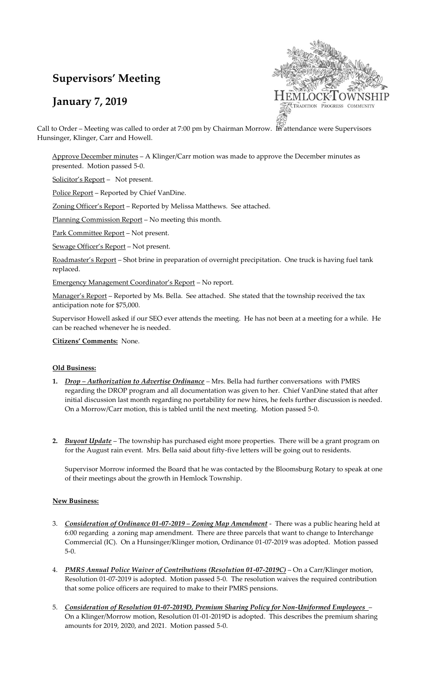# **Supervisors' Meeting**

## **January 7, 2019**



Call to Order – Meeting was called to order at 7:00 pm by Chairman Morrow. In attendance were Supervisors Hunsinger, Klinger, Carr and Howell.

Approve December minutes – A Klinger/Carr motion was made to approve the December minutes as presented. Motion passed 5-0.

Solicitor's Report – Not present.

Police Report – Reported by Chief VanDine.

Zoning Officer's Report – Reported by Melissa Matthews. See attached.

Planning Commission Report – No meeting this month.

Park Committee Report – Not present.

Sewage Officer's Report – Not present.

Roadmaster's Report - Shot brine in preparation of overnight precipitation. One truck is having fuel tank replaced.

Emergency Management Coordinator's Report – No report.

Manager's Report – Reported by Ms. Bella. See attached. She stated that the township received the tax anticipation note for \$75,000.

Supervisor Howell asked if our SEO ever attends the meeting. He has not been at a meeting for a while. He can be reached whenever he is needed.

#### **Citizens' Comments:** None.

#### **Old Business:**

- **1.** *Drop – Authorization to Advertise Ordinance –* Mrs. Bella had further conversations with PMRS regarding the DROP program and all documentation was given to her. Chief VanDine stated that after initial discussion last month regarding no portability for new hires, he feels further discussion is needed. On a Morrow/Carr motion, this is tabled until the next meeting. Motion passed 5-0.
- **2.** *Buyout Update* The township has purchased eight more properties. There will be a grant program on for the August rain event. Mrs. Bella said about fifty-five letters will be going out to residents.

Supervisor Morrow informed the Board that he was contacted by the Bloomsburg Rotary to speak at one of their meetings about the growth in Hemlock Township.

#### **New Business:**

- 3. *Consideration of Ordinance 01-07-2019 – Zoning Map Amendment* There was a public hearing held at 6:00 regarding a zoning map amendment. There are three parcels that want to change to Interchange Commercial (IC). On a Hunsinger/Klinger motion, Ordinance 01-07-2019 was adopted. Motion passed 5-0.
- 4. *PMRS Annual Police Waiver of Contributions (Resolution 01-07-2019C)* On a Carr/Klinger motion, Resolution 01-07-2019 is adopted. Motion passed 5-0. The resolution waives the required contribution that some police officers are required to make to their PMRS pensions.
- 5. *Consideration of Resolution 01-07-2019D, Premium Sharing Policy for Non-Uniformed Employees* On a Klinger/Morrow motion, Resolution 01-01-2019D is adopted. This describes the premium sharing amounts for 2019, 2020, and 2021. Motion passed 5-0.